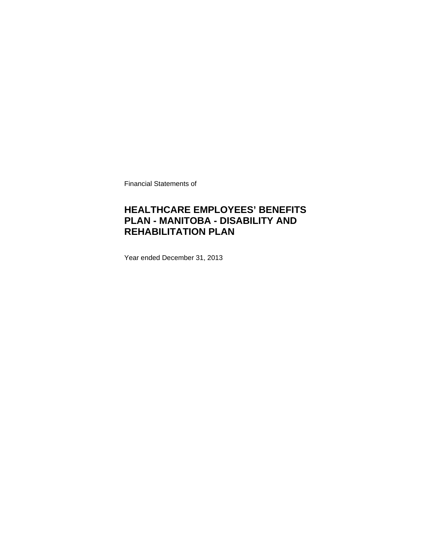Financial Statements of

## **HEALTHCARE EMPLOYEES' BENEFITS PLAN - MANITOBA - DISABILITY AND REHABILITATION PLAN**

Year ended December 31, 2013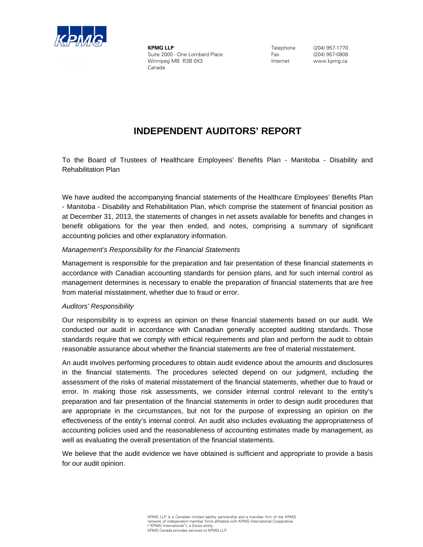

**KPMG LLP** Suite 2000 - One Lombard Place Winnipeg MB R3B 0X3 Canada

Telephone Fax Internet

(204) 957-1770 (204) 957-0808 www.kpmg.ca

## **INDEPENDENT AUDITORS' REPORT**

To the Board of Trustees of Healthcare Employees' Benefits Plan - Manitoba - Disability and Rehabilitation Plan

We have audited the accompanying financial statements of the Healthcare Employees' Benefits Plan - Manitoba - Disability and Rehabilitation Plan, which comprise the statement of financial position as at December 31, 2013, the statements of changes in net assets available for benefits and changes in benefit obligations for the year then ended, and notes, comprising a summary of significant accounting policies and other explanatory information.

### *Management's Responsibility for the Financial Statements*

Management is responsible for the preparation and fair presentation of these financial statements in accordance with Canadian accounting standards for pension plans, and for such internal control as management determines is necessary to enable the preparation of financial statements that are free from material misstatement, whether due to fraud or error.

## *Auditors' Responsibility*

Our responsibility is to express an opinion on these financial statements based on our audit. We conducted our audit in accordance with Canadian generally accepted auditing standards. Those standards require that we comply with ethical requirements and plan and perform the audit to obtain reasonable assurance about whether the financial statements are free of material misstatement.

An audit involves performing procedures to obtain audit evidence about the amounts and disclosures in the financial statements. The procedures selected depend on our judgment, including the assessment of the risks of material misstatement of the financial statements, whether due to fraud or error. In making those risk assessments, we consider internal control relevant to the entity's preparation and fair presentation of the financial statements in order to design audit procedures that are appropriate in the circumstances, but not for the purpose of expressing an opinion on the effectiveness of the entity's internal control. An audit also includes evaluating the appropriateness of accounting policies used and the reasonableness of accounting estimates made by management, as well as evaluating the overall presentation of the financial statements.

We believe that the audit evidence we have obtained is sufficient and appropriate to provide a basis for our audit opinion.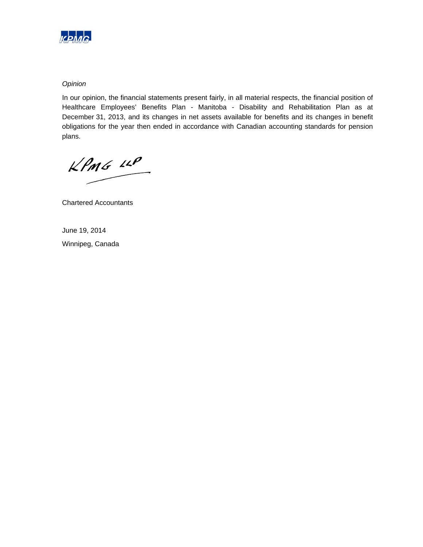

## *Opinion*

In our opinion, the financial statements present fairly, in all material respects, the financial position of Healthcare Employees' Benefits Plan - Manitoba - Disability and Rehabilitation Plan as at December 31, 2013, and its changes in net assets available for benefits and its changes in benefit obligations for the year then ended in accordance with Canadian accounting standards for pension plans.

 $KPMG$  11P

Chartered Accountants

June 19, 2014

Winnipeg, Canada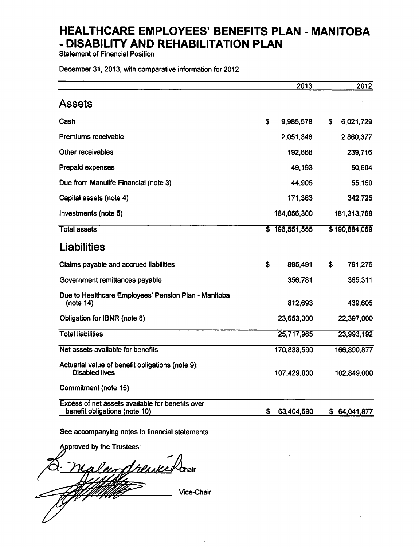**Statement of Financial Position** 

December 31, 2013, with comparative information for 2012

|                                                                                   |    | 2013          | 2012            |
|-----------------------------------------------------------------------------------|----|---------------|-----------------|
| Assets                                                                            |    |               |                 |
| Cash                                                                              | \$ | 9,985,578     | \$<br>6,021,729 |
| Premiums receivable                                                               |    | 2,051,348     | 2,860,377       |
| Other receivables                                                                 |    | 192,868       | 239,716         |
| Prepaid expenses                                                                  |    | 49,193        | 50,604          |
| Due from Manulife Financial (note 3)                                              |    | 44,905        | 55,150          |
| Capital assets (note 4)                                                           |    | 171,363       | 342,725         |
| Investments (note 5)                                                              |    | 184,056,300   | 181, 313, 768   |
| <b>Total assets</b>                                                               |    | \$196,551,555 | \$190,884,069   |
| Liabilities                                                                       |    |               |                 |
| Claims payable and accrued liabilities                                            | S  | 895,491       | \$<br>791,276   |
| Government remittances payable                                                    |    | 356,781       | 365,311         |
| Due to Healthcare Employees' Pension Plan - Manitoba<br>(note $14$ )              |    | 812,693       | 439,605         |
| Obligation for IBNR (note 8)                                                      |    | 23,653,000    | 22,397,000      |
| <b>Total liabilities</b>                                                          |    | 25,717,965    | 23,993,192      |
| Net assets available for benefits                                                 |    | 170,833,590   | 166,890,877     |
| Actuarial value of benefit obligations (note 9):<br><b>Disabled lives</b>         |    | 107,429,000   | 102,849,000     |
| Commitment (note 15)                                                              |    |               |                 |
| Excess of net assets available for benefits over<br>benefit obligations (note 10) | \$ | 63,404,590    | \$64,041,877    |

.

See accompanying notes to financial statements.

Approved by the Trustees: eindreweed chair **Vice-Chair**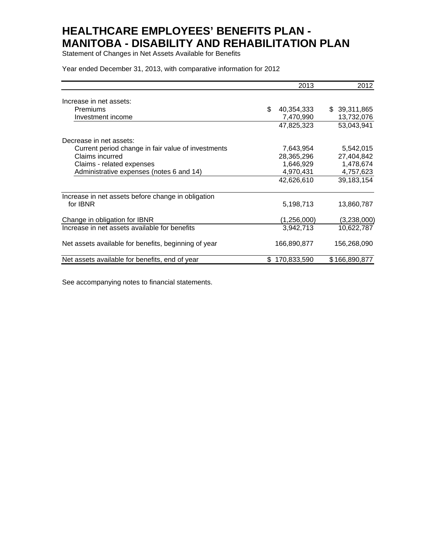Statement of Changes in Net Assets Available for Benefits

Year ended December 31, 2013, with comparative information for 2012

|                                                      | 2013              | 2012          |
|------------------------------------------------------|-------------------|---------------|
| Increase in net assets:                              |                   |               |
| Premiums                                             | \$<br>40,354,333  | \$39,311,865  |
| Investment income                                    | 7,470,990         | 13,732,076    |
|                                                      | 47,825,323        | 53,043,941    |
| Decrease in net assets:                              |                   |               |
| Current period change in fair value of investments   | 7,643,954         | 5,542,015     |
| Claims incurred                                      | 28,365,296        | 27,404,842    |
| Claims - related expenses                            | 1,646,929         | 1,478,674     |
| Administrative expenses (notes 6 and 14)             | 4,970,431         | 4,757,623     |
|                                                      | 42,626,610        | 39, 183, 154  |
| Increase in net assets before change in obligation   |                   |               |
| for IBNR                                             | 5,198,713         | 13,860,787    |
| Change in obligation for IBNR                        | (1,256,000)       | (3,238,000)   |
| Increase in net assets available for benefits        | 3,942,713         | 10,622,787    |
| Net assets available for benefits, beginning of year | 166,890,877       | 156,268,090   |
| Net assets available for benefits, end of year       | \$<br>170,833,590 | \$166,890,877 |

See accompanying notes to financial statements.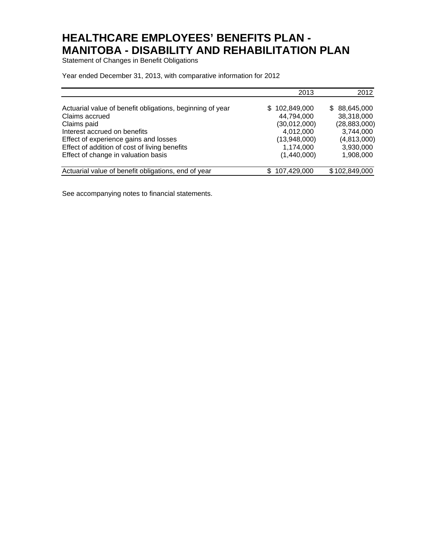Statement of Changes in Benefit Obligations

Year ended December 31, 2013, with comparative information for 2012

|                                                           | 2013          | 2012           |
|-----------------------------------------------------------|---------------|----------------|
| Actuarial value of benefit obligations, beginning of year | \$102,849,000 | \$ 88,645,000  |
| Claims accrued                                            | 44,794,000    | 38,318,000     |
| Claims paid                                               | (30,012,000)  | (28, 883, 000) |
| Interest accrued on benefits                              | 4,012,000     | 3,744,000      |
| Effect of experience gains and losses                     | (13,948,000)  | (4,813,000)    |
| Effect of addition of cost of living benefits             | 1,174,000     | 3,930,000      |
| Effect of change in valuation basis                       | (1,440,000)   | 1,908,000      |
| Actuarial value of benefit obligations, end of year       | 107,429,000   | \$102,849,000  |

See accompanying notes to financial statements.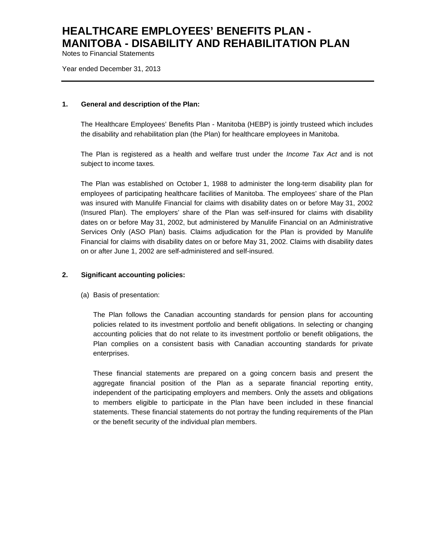Notes to Financial Statements

Year ended December 31, 2013

### **1. General and description of the Plan:**

The Healthcare Employees' Benefits Plan - Manitoba (HEBP) is jointly trusteed which includes the disability and rehabilitation plan (the Plan) for healthcare employees in Manitoba.

The Plan is registered as a health and welfare trust under the *Income Tax Act* and is not subject to income taxes*.*

The Plan was established on October 1, 1988 to administer the long-term disability plan for employees of participating healthcare facilities of Manitoba. The employees' share of the Plan was insured with Manulife Financial for claims with disability dates on or before May 31, 2002 (Insured Plan). The employers' share of the Plan was self-insured for claims with disability dates on or before May 31, 2002, but administered by Manulife Financial on an Administrative Services Only (ASO Plan) basis. Claims adjudication for the Plan is provided by Manulife Financial for claims with disability dates on or before May 31, 2002. Claims with disability dates on or after June 1, 2002 are self-administered and self-insured.

## **2. Significant accounting policies:**

(a) Basis of presentation:

The Plan follows the Canadian accounting standards for pension plans for accounting policies related to its investment portfolio and benefit obligations. In selecting or changing accounting policies that do not relate to its investment portfolio or benefit obligations, the Plan complies on a consistent basis with Canadian accounting standards for private enterprises.

These financial statements are prepared on a going concern basis and present the aggregate financial position of the Plan as a separate financial reporting entity, independent of the participating employers and members. Only the assets and obligations to members eligible to participate in the Plan have been included in these financial statements. These financial statements do not portray the funding requirements of the Plan or the benefit security of the individual plan members.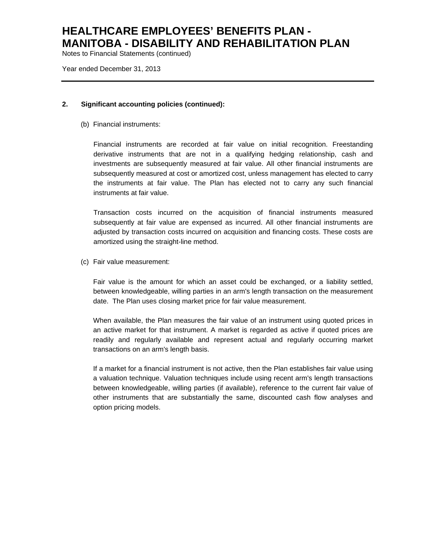Notes to Financial Statements (continued)

Year ended December 31, 2013

## **2. Significant accounting policies (continued):**

(b) Financial instruments:

Financial instruments are recorded at fair value on initial recognition. Freestanding derivative instruments that are not in a qualifying hedging relationship, cash and investments are subsequently measured at fair value. All other financial instruments are subsequently measured at cost or amortized cost, unless management has elected to carry the instruments at fair value. The Plan has elected not to carry any such financial instruments at fair value.

Transaction costs incurred on the acquisition of financial instruments measured subsequently at fair value are expensed as incurred. All other financial instruments are adjusted by transaction costs incurred on acquisition and financing costs. These costs are amortized using the straight-line method.

(c) Fair value measurement:

Fair value is the amount for which an asset could be exchanged, or a liability settled, between knowledgeable, willing parties in an arm's length transaction on the measurement date. The Plan uses closing market price for fair value measurement.

When available, the Plan measures the fair value of an instrument using quoted prices in an active market for that instrument. A market is regarded as active if quoted prices are readily and regularly available and represent actual and regularly occurring market transactions on an arm's length basis.

If a market for a financial instrument is not active, then the Plan establishes fair value using a valuation technique. Valuation techniques include using recent arm's length transactions between knowledgeable, willing parties (if available), reference to the current fair value of other instruments that are substantially the same, discounted cash flow analyses and option pricing models.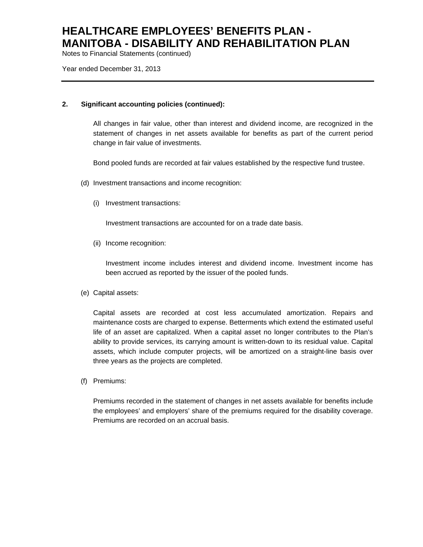Notes to Financial Statements (continued)

Year ended December 31, 2013

## **2. Significant accounting policies (continued):**

All changes in fair value, other than interest and dividend income, are recognized in the statement of changes in net assets available for benefits as part of the current period change in fair value of investments.

Bond pooled funds are recorded at fair values established by the respective fund trustee.

- (d) Investment transactions and income recognition:
	- (i) Investment transactions:

Investment transactions are accounted for on a trade date basis.

(ii) Income recognition:

Investment income includes interest and dividend income. Investment income has been accrued as reported by the issuer of the pooled funds.

(e) Capital assets:

Capital assets are recorded at cost less accumulated amortization. Repairs and maintenance costs are charged to expense. Betterments which extend the estimated useful life of an asset are capitalized. When a capital asset no longer contributes to the Plan's ability to provide services, its carrying amount is written-down to its residual value. Capital assets, which include computer projects, will be amortized on a straight-line basis over three years as the projects are completed.

(f) Premiums:

Premiums recorded in the statement of changes in net assets available for benefits include the employees' and employers' share of the premiums required for the disability coverage. Premiums are recorded on an accrual basis.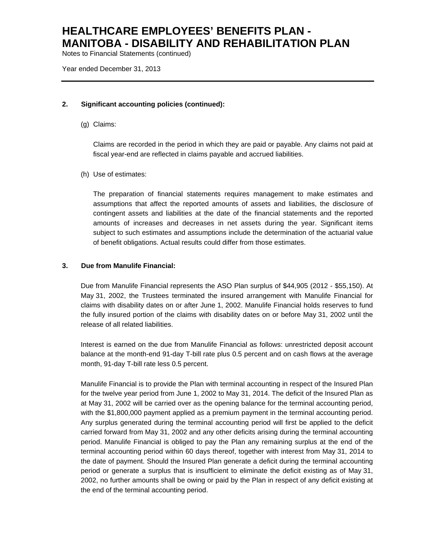Notes to Financial Statements (continued)

Year ended December 31, 2013

## **2. Significant accounting policies (continued):**

(g) Claims:

Claims are recorded in the period in which they are paid or payable. Any claims not paid at fiscal year-end are reflected in claims payable and accrued liabilities.

(h) Use of estimates:

The preparation of financial statements requires management to make estimates and assumptions that affect the reported amounts of assets and liabilities, the disclosure of contingent assets and liabilities at the date of the financial statements and the reported amounts of increases and decreases in net assets during the year. Significant items subject to such estimates and assumptions include the determination of the actuarial value of benefit obligations. Actual results could differ from those estimates.

## **3. Due from Manulife Financial:**

Due from Manulife Financial represents the ASO Plan surplus of \$44,905 (2012 - \$55,150). At May 31, 2002, the Trustees terminated the insured arrangement with Manulife Financial for claims with disability dates on or after June 1, 2002. Manulife Financial holds reserves to fund the fully insured portion of the claims with disability dates on or before May 31, 2002 until the release of all related liabilities.

Interest is earned on the due from Manulife Financial as follows: unrestricted deposit account balance at the month-end 91-day T-bill rate plus 0.5 percent and on cash flows at the average month, 91-day T-bill rate less 0.5 percent.

Manulife Financial is to provide the Plan with terminal accounting in respect of the Insured Plan for the twelve year period from June 1, 2002 to May 31, 2014. The deficit of the Insured Plan as at May 31, 2002 will be carried over as the opening balance for the terminal accounting period, with the \$1,800,000 payment applied as a premium payment in the terminal accounting period. Any surplus generated during the terminal accounting period will first be applied to the deficit carried forward from May 31, 2002 and any other deficits arising during the terminal accounting period. Manulife Financial is obliged to pay the Plan any remaining surplus at the end of the terminal accounting period within 60 days thereof, together with interest from May 31, 2014 to the date of payment. Should the Insured Plan generate a deficit during the terminal accounting period or generate a surplus that is insufficient to eliminate the deficit existing as of May 31, 2002, no further amounts shall be owing or paid by the Plan in respect of any deficit existing at the end of the terminal accounting period.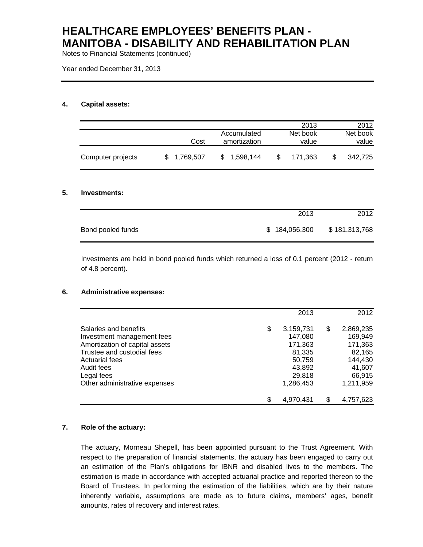Notes to Financial Statements (continued)

Year ended December 31, 2013

## **4. Capital assets:**

|                   |             |    |                             |     | 2013              |  | 2012              |
|-------------------|-------------|----|-----------------------------|-----|-------------------|--|-------------------|
|                   | Cost        |    | Accumulated<br>amortization |     | Net book<br>value |  | Net book<br>value |
| Computer projects | \$1,769,507 | S. | 1,598,144                   | \$. | 171.363           |  | 342.725           |

#### **5. Investments:**

|                   | 2013          | 2012          |
|-------------------|---------------|---------------|
| Bond pooled funds | \$184,056,300 | \$181,313,768 |

Investments are held in bond pooled funds which returned a loss of 0.1 percent (2012 - return of 4.8 percent).

#### **6. Administrative expenses:**

|                                | 2013            | 2012            |
|--------------------------------|-----------------|-----------------|
| Salaries and benefits          | \$<br>3,159,731 | \$<br>2,869,235 |
| Investment management fees     | 147,080         | 169,949         |
| Amortization of capital assets | 171,363         | 171,363         |
| Trustee and custodial fees     | 81,335          | 82,165          |
| <b>Actuarial fees</b>          | 50,759          | 144,430         |
| Audit fees                     | 43,892          | 41,607          |
| Legal fees                     | 29,818          | 66,915          |
| Other administrative expenses  | 1,286,453       | 1,211,959       |
|                                | \$<br>4,970,431 | 4,757,623       |

## **7. Role of the actuary:**

The actuary, Morneau Shepell, has been appointed pursuant to the Trust Agreement. With respect to the preparation of financial statements, the actuary has been engaged to carry out an estimation of the Plan's obligations for IBNR and disabled lives to the members. The estimation is made in accordance with accepted actuarial practice and reported thereon to the Board of Trustees. In performing the estimation of the liabilities, which are by their nature inherently variable, assumptions are made as to future claims, members' ages, benefit amounts, rates of recovery and interest rates.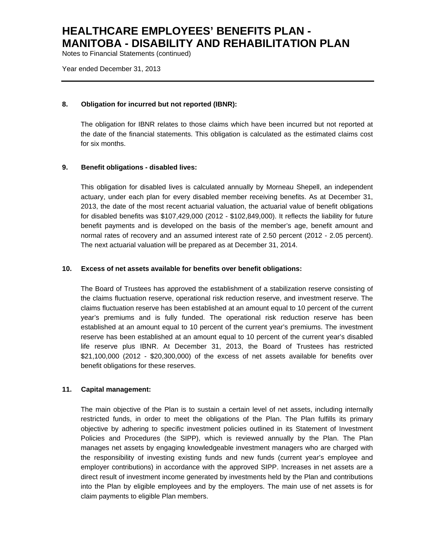Notes to Financial Statements (continued)

Year ended December 31, 2013

## **8. Obligation for incurred but not reported (IBNR):**

The obligation for IBNR relates to those claims which have been incurred but not reported at the date of the financial statements. This obligation is calculated as the estimated claims cost for six months.

## **9. Benefit obligations - disabled lives:**

This obligation for disabled lives is calculated annually by Morneau Shepell, an independent actuary, under each plan for every disabled member receiving benefits. As at December 31, 2013, the date of the most recent actuarial valuation, the actuarial value of benefit obligations for disabled benefits was \$107,429,000 (2012 - \$102,849,000). It reflects the liability for future benefit payments and is developed on the basis of the member's age, benefit amount and normal rates of recovery and an assumed interest rate of 2.50 percent (2012 - 2.05 percent). The next actuarial valuation will be prepared as at December 31, 2014.

## **10. Excess of net assets available for benefits over benefit obligations:**

The Board of Trustees has approved the establishment of a stabilization reserve consisting of the claims fluctuation reserve, operational risk reduction reserve, and investment reserve. The claims fluctuation reserve has been established at an amount equal to 10 percent of the current year's premiums and is fully funded. The operational risk reduction reserve has been established at an amount equal to 10 percent of the current year's premiums. The investment reserve has been established at an amount equal to 10 percent of the current year's disabled life reserve plus IBNR. At December 31, 2013, the Board of Trustees has restricted \$21,100,000 (2012 - \$20,300,000) of the excess of net assets available for benefits over benefit obligations for these reserves.

## **11. Capital management:**

The main objective of the Plan is to sustain a certain level of net assets, including internally restricted funds, in order to meet the obligations of the Plan. The Plan fulfills its primary objective by adhering to specific investment policies outlined in its Statement of Investment Policies and Procedures (the SIPP), which is reviewed annually by the Plan. The Plan manages net assets by engaging knowledgeable investment managers who are charged with the responsibility of investing existing funds and new funds (current year's employee and employer contributions) in accordance with the approved SIPP. Increases in net assets are a direct result of investment income generated by investments held by the Plan and contributions into the Plan by eligible employees and by the employers. The main use of net assets is for claim payments to eligible Plan members.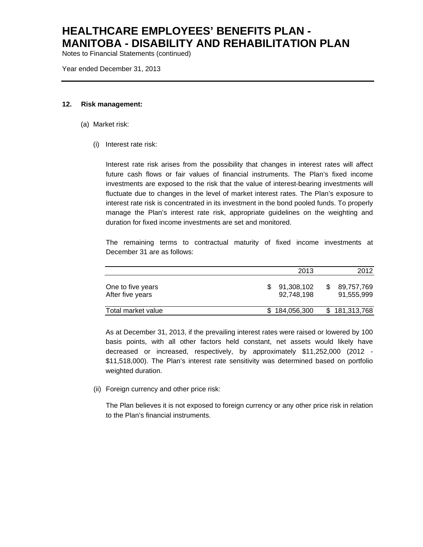Notes to Financial Statements (continued)

Year ended December 31, 2013

### **12. Risk management:**

- (a) Market risk:
	- (i) Interest rate risk:

Interest rate risk arises from the possibility that changes in interest rates will affect future cash flows or fair values of financial instruments. The Plan's fixed income investments are exposed to the risk that the value of interest-bearing investments will fluctuate due to changes in the level of market interest rates. The Plan's exposure to interest rate risk is concentrated in its investment in the bond pooled funds. To properly manage the Plan's interest rate risk, appropriate guidelines on the weighting and duration for fixed income investments are set and monitored.

The remaining terms to contractual maturity of fixed income investments at December 31 are as follows:

|                                       | 2013                     | 2012                     |
|---------------------------------------|--------------------------|--------------------------|
| One to five years<br>After five years | 91,308,102<br>92.748.198 | 89,757,769<br>91.555.999 |
| Total market value                    | \$184,056,300            | \$181,313,768            |

As at December 31, 2013, if the prevailing interest rates were raised or lowered by 100 basis points, with all other factors held constant, net assets would likely have decreased or increased, respectively, by approximately \$11,252,000 (2012 - \$11,518,000). The Plan's interest rate sensitivity was determined based on portfolio weighted duration.

(ii) Foreign currency and other price risk:

The Plan believes it is not exposed to foreign currency or any other price risk in relation to the Plan's financial instruments.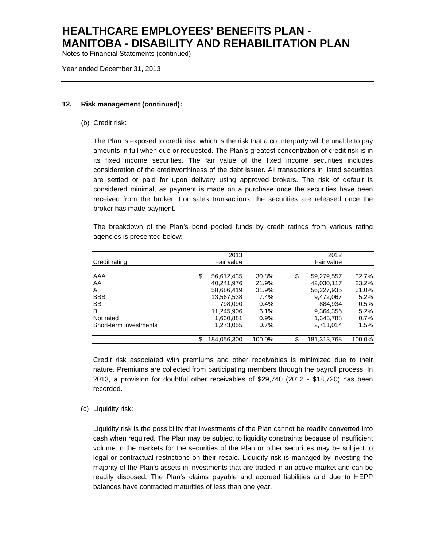Notes to Financial Statements (continued)

Year ended December 31, 2013

### **12. Risk management (continued):**

(b) Credit risk:

The Plan is exposed to credit risk, which is the risk that a counterparty will be unable to pay amounts in full when due or requested. The Plan's greatest concentration of credit risk is in its fixed income securities. The fair value of the fixed income securities includes consideration of the creditworthiness of the debt issuer. All transactions in listed securities are settled or paid for upon delivery using approved brokers. The risk of default is considered minimal, as payment is made on a purchase once the securities have been received from the broker. For sales transactions, the securities are released once the broker has made payment.

The breakdown of the Plan's bond pooled funds by credit ratings from various rating agencies is presented below:

|                        | 2013              |         | 2012              |         |
|------------------------|-------------------|---------|-------------------|---------|
| Credit rating          | Fair value        |         | Fair value        |         |
|                        |                   |         |                   |         |
| AAA                    | \$<br>56,612,435  | 30.8%   | \$<br>59,279,557  | 32.7%   |
| AA                     | 40,241,976        | 21.9%   | 42,030,117        | 23.2%   |
| A                      | 58,686,419        | 31.9%   | 56,227,935        | 31.0%   |
| <b>BBB</b>             | 13,567,538        | 7.4%    | 9.472.067         | 5.2%    |
| <b>BB</b>              | 798,090           | $0.4\%$ | 884,934           | 0.5%    |
| B                      | 11,245,906        | 6.1%    | 9,364,356         | 5.2%    |
| Not rated              | 1,630,881         | 0.9%    | 1,343,788         | $0.7\%$ |
| Short-term investments | 1.273.055         | 0.7%    | 2.711.014         | 1.5%    |
|                        | \$<br>184.056.300 | 100.0%  | \$<br>181.313.768 | 100.0%  |

Credit risk associated with premiums and other receivables is minimized due to their nature. Premiums are collected from participating members through the payroll process. In 2013, a provision for doubtful other receivables of \$29,740 (2012 - \$18,720) has been recorded.

## (c) Liquidity risk:

Liquidity risk is the possibility that investments of the Plan cannot be readily converted into cash when required. The Plan may be subject to liquidity constraints because of insufficient volume in the markets for the securities of the Plan or other securities may be subject to legal or contractual restrictions on their resale. Liquidity risk is managed by investing the majority of the Plan's assets in investments that are traded in an active market and can be readily disposed. The Plan's claims payable and accrued liabilities and due to HEPP balances have contracted maturities of less than one year.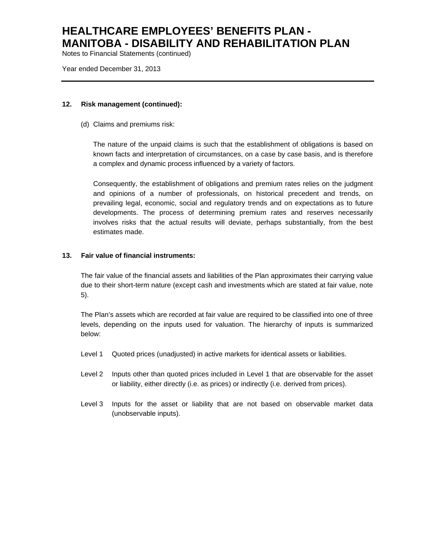Notes to Financial Statements (continued)

Year ended December 31, 2013

### **12. Risk management (continued):**

(d) Claims and premiums risk:

The nature of the unpaid claims is such that the establishment of obligations is based on known facts and interpretation of circumstances, on a case by case basis, and is therefore a complex and dynamic process influenced by a variety of factors.

Consequently, the establishment of obligations and premium rates relies on the judgment and opinions of a number of professionals, on historical precedent and trends, on prevailing legal, economic, social and regulatory trends and on expectations as to future developments. The process of determining premium rates and reserves necessarily involves risks that the actual results will deviate, perhaps substantially, from the best estimates made.

## **13. Fair value of financial instruments:**

The fair value of the financial assets and liabilities of the Plan approximates their carrying value due to their short-term nature (except cash and investments which are stated at fair value, note 5).

The Plan's assets which are recorded at fair value are required to be classified into one of three levels, depending on the inputs used for valuation. The hierarchy of inputs is summarized below:

- Level 1 Quoted prices (unadjusted) in active markets for identical assets or liabilities.
- Level 2 Inputs other than quoted prices included in Level 1 that are observable for the asset or liability, either directly (i.e. as prices) or indirectly (i.e. derived from prices).
- Level 3 Inputs for the asset or liability that are not based on observable market data (unobservable inputs).